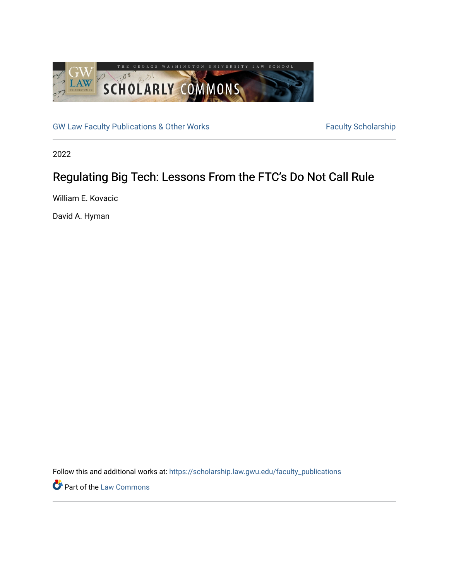

[GW Law Faculty Publications & Other Works](https://scholarship.law.gwu.edu/faculty_publications) Faculty Scholarship

2022

# Regulating Big Tech: Lessons From the FTC's Do Not Call Rule

William E. Kovacic

David A. Hyman

Follow this and additional works at: [https://scholarship.law.gwu.edu/faculty\\_publications](https://scholarship.law.gwu.edu/faculty_publications?utm_source=scholarship.law.gwu.edu%2Ffaculty_publications%2F1599&utm_medium=PDF&utm_campaign=PDFCoverPages) 

**Part of the [Law Commons](https://network.bepress.com/hgg/discipline/578?utm_source=scholarship.law.gwu.edu%2Ffaculty_publications%2F1599&utm_medium=PDF&utm_campaign=PDFCoverPages)**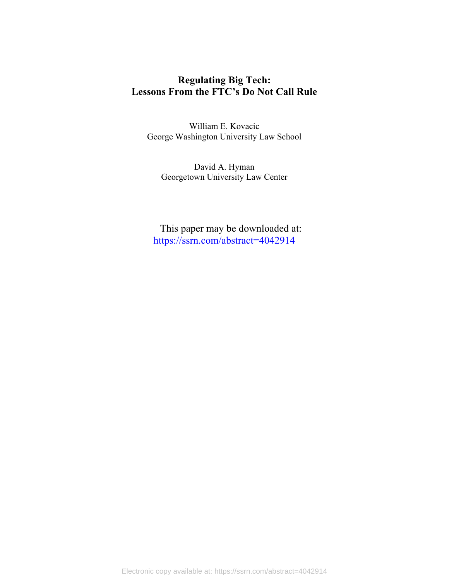## **Regulating Big Tech: Lessons From the FTC's Do Not Call Rule**

William E. Kovacic George Washington University Law School

David A. Hyman Georgetown University Law Center

This paper may be downloaded at: https://ssrn.com/abstract=4042914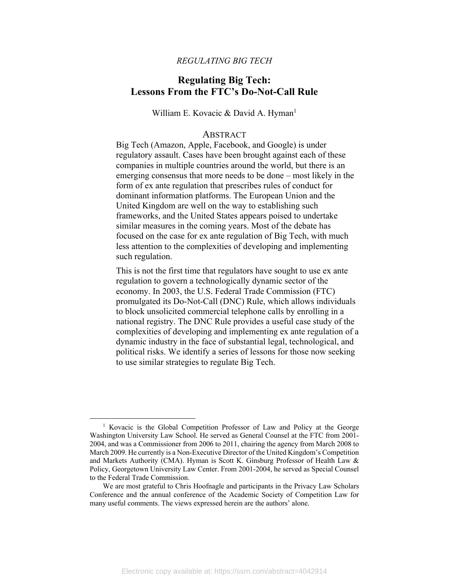#### *REGULATING BIG TECH*

## **Regulating Big Tech: Lessons From the FTC's Do-Not-Call Rule**

William E. Kovacic & David A. Hyman<sup>1</sup>

#### **ABSTRACT**

Big Tech (Amazon, Apple, Facebook, and Google) is under regulatory assault. Cases have been brought against each of these companies in multiple countries around the world, but there is an emerging consensus that more needs to be done – most likely in the form of ex ante regulation that prescribes rules of conduct for dominant information platforms. The European Union and the United Kingdom are well on the way to establishing such frameworks, and the United States appears poised to undertake similar measures in the coming years. Most of the debate has focused on the case for ex ante regulation of Big Tech, with much less attention to the complexities of developing and implementing such regulation.

This is not the first time that regulators have sought to use ex ante regulation to govern a technologically dynamic sector of the economy. In 2003, the U.S. Federal Trade Commission (FTC) promulgated its Do-Not-Call (DNC) Rule, which allows individuals to block unsolicited commercial telephone calls by enrolling in a national registry. The DNC Rule provides a useful case study of the complexities of developing and implementing ex ante regulation of a dynamic industry in the face of substantial legal, technological, and political risks. We identify a series of lessons for those now seeking to use similar strategies to regulate Big Tech.

<sup>&</sup>lt;sup>1</sup> Kovacic is the Global Competition Professor of Law and Policy at the George Washington University Law School. He served as General Counsel at the FTC from 2001- 2004, and was a Commissioner from 2006 to 2011, chairing the agency from March 2008 to March 2009. He currently is a Non-Executive Director of the United Kingdom's Competition and Markets Authority (CMA). Hyman is Scott K. Ginsburg Professor of Health Law & Policy, Georgetown University Law Center. From 2001-2004, he served as Special Counsel to the Federal Trade Commission.

We are most grateful to Chris Hoofnagle and participants in the Privacy Law Scholars Conference and the annual conference of the Academic Society of Competition Law for many useful comments. The views expressed herein are the authors' alone.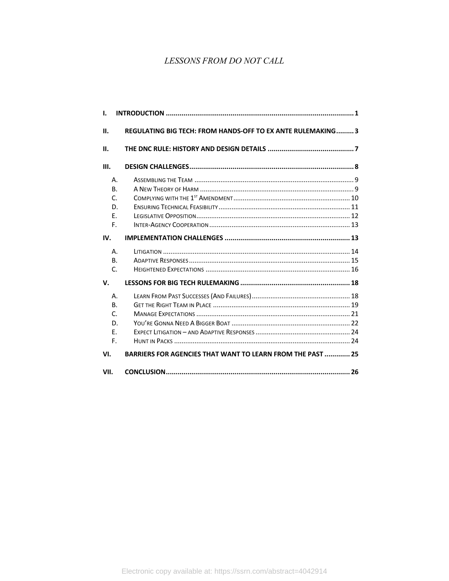## LESSONS FROM DO NOT CALL

| Ι.                                                      |                                                                    |
|---------------------------------------------------------|--------------------------------------------------------------------|
| Ш.                                                      | <b>REGULATING BIG TECH: FROM HANDS-OFF TO EX ANTE RULEMAKING 3</b> |
| II.                                                     |                                                                    |
| Ш.                                                      |                                                                    |
| Α.<br><b>B.</b><br>$\mathsf{C}$<br>D.<br>F.<br>F.       |                                                                    |
| IV.                                                     |                                                                    |
| Α.<br><b>B.</b><br>$\mathsf{C}$                         |                                                                    |
| V.<br>Α.<br><b>B.</b><br>$\mathsf{C}$<br>D.<br>F.<br>F. |                                                                    |
| VI.                                                     | <b>BARRIERS FOR AGENCIES THAT WANT TO LEARN FROM THE PAST  25</b>  |
|                                                         |                                                                    |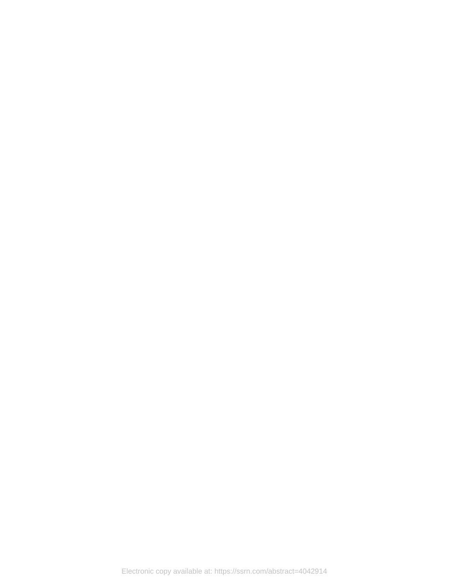Electronic copy available at: https://ssrn.com/abstract=4042914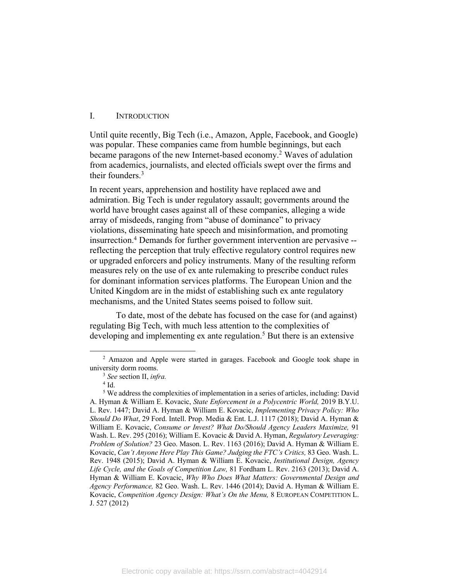#### I. INTRODUCTION

Until quite recently, Big Tech (i.e., Amazon, Apple, Facebook, and Google) was popular. These companies came from humble beginnings, but each became paragons of the new Internet-based economy.<sup>2</sup> Waves of adulation from academics, journalists, and elected officials swept over the firms and their founders.3

In recent years, apprehension and hostility have replaced awe and admiration. Big Tech is under regulatory assault; governments around the world have brought cases against all of these companies, alleging a wide array of misdeeds, ranging from "abuse of dominance" to privacy violations, disseminating hate speech and misinformation, and promoting insurrection. <sup>4</sup> Demands for further government intervention are pervasive - reflecting the perception that truly effective regulatory control requires new or upgraded enforcers and policy instruments. Many of the resulting reform measures rely on the use of ex ante rulemaking to prescribe conduct rules for dominant information services platforms. The European Union and the United Kingdom are in the midst of establishing such ex ante regulatory mechanisms, and the United States seems poised to follow suit.

To date, most of the debate has focused on the case for (and against) regulating Big Tech, with much less attention to the complexities of developing and implementing ex ante regulation.<sup>5</sup> But there is an extensive

<sup>&</sup>lt;sup>2</sup> Amazon and Apple were started in garages. Facebook and Google took shape in university dorm rooms. 3 *See* section II, *infra.*

 $4$  Id.

<sup>5</sup> We address the complexities of implementation in a series of articles, including: David A. Hyman & William E. Kovacic, *State Enforcement in a Polycentric World,* 2019 B.Y.U. L. Rev. 1447; David A. Hyman & William E. Kovacic, *Implementing Privacy Policy: Who Should Do What*, 29 Ford. Intell. Prop. Media & Ent. L.J. 1117 (2018); David A. Hyman & William E. Kovacic, *Consume or Invest? What Do/Should Agency Leaders Maximize,* 91 Wash. L. Rev. 295 (2016); William E. Kovacic & David A. Hyman, *Regulatory Leveraging: Problem of Solution?* 23 Geo. Mason. L. Rev. 1163 (2016); David A. Hyman & William E. Kovacic, *Can't Anyone Here Play This Game? Judging the FTC's Critics,* 83 Geo. Wash. L. Rev. 1948 (2015); David A. Hyman & William E. Kovacic, *Institutional Design, Agency Life Cycle, and the Goals of Competition Law,* 81 Fordham L. Rev. 2163 (2013); David A. Hyman & William E. Kovacic, *Why Who Does What Matters: Governmental Design and Agency Performance,* 82 Geo. Wash. L. Rev. 1446 (2014); David A. Hyman & William E. Kovacic, *Competition Agency Design: What's On the Menu,* 8 EUROPEAN COMPETITION L. J. 527 (2012)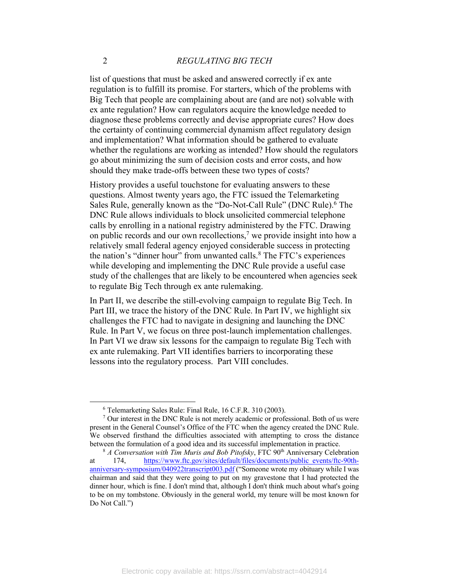list of questions that must be asked and answered correctly if ex ante regulation is to fulfill its promise. For starters, which of the problems with Big Tech that people are complaining about are (and are not) solvable with ex ante regulation? How can regulators acquire the knowledge needed to diagnose these problems correctly and devise appropriate cures? How does the certainty of continuing commercial dynamism affect regulatory design and implementation? What information should be gathered to evaluate whether the regulations are working as intended? How should the regulators go about minimizing the sum of decision costs and error costs, and how should they make trade-offs between these two types of costs?

History provides a useful touchstone for evaluating answers to these questions. Almost twenty years ago, the FTC issued the Telemarketing Sales Rule, generally known as the "Do-Not-Call Rule" (DNC Rule).<sup>6</sup> The DNC Rule allows individuals to block unsolicited commercial telephone calls by enrolling in a national registry administered by the FTC. Drawing on public records and our own recollections, <sup>7</sup> we provide insight into how a relatively small federal agency enjoyed considerable success in protecting the nation's "dinner hour" from unwanted calls.<sup>8</sup> The FTC's experiences while developing and implementing the DNC Rule provide a useful case study of the challenges that are likely to be encountered when agencies seek to regulate Big Tech through ex ante rulemaking.

In Part II, we describe the still-evolving campaign to regulate Big Tech. In Part III, we trace the history of the DNC Rule. In Part IV, we highlight six challenges the FTC had to navigate in designing and launching the DNC Rule. In Part V, we focus on three post-launch implementation challenges. In Part VI we draw six lessons for the campaign to regulate Big Tech with ex ante rulemaking. Part VII identifies barriers to incorporating these lessons into the regulatory process. Part VIII concludes.

<sup>6</sup> Telemarketing Sales Rule: Final Rule, 16 C.F.R. 310 (2003).

 $<sup>7</sup>$  Our interest in the DNC Rule is not merely academic or professional. Both of us were</sup> present in the General Counsel's Office of the FTC when the agency created the DNC Rule. We observed firsthand the difficulties associated with attempting to cross the distance between the formulation of a good idea and its successful implementation in practice.

<sup>8</sup> *A Conversation with Tim Muris and Bob Pitofsky*, FTC 90th Anniversary Celebration at 174, https://www.ftc.gov/sites/default/files/documents/public\_events/ftc-90thanniversary-symposium/040922transcript003.pdf ("Someone wrote my obituary while I was chairman and said that they were going to put on my gravestone that I had protected the dinner hour, which is fine. I don't mind that, although I don't think much about what's going to be on my tombstone. Obviously in the general world, my tenure will be most known for Do Not Call.")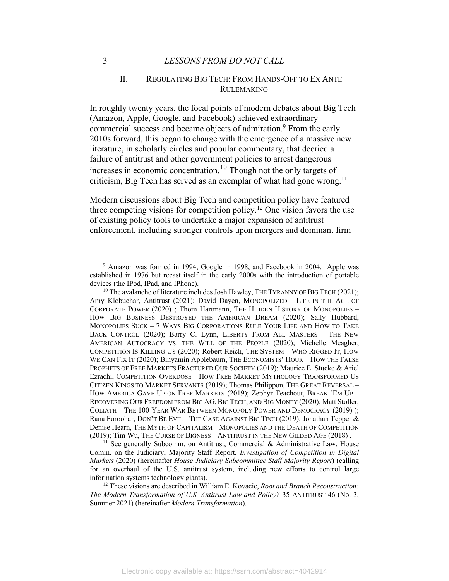#### 3 *LESSONS FROM DO NOT CALL*

#### II. REGULATING BIG TECH: FROM HANDS-OFF TO EX ANTE RULEMAKING

In roughly twenty years, the focal points of modern debates about Big Tech (Amazon, Apple, Google, and Facebook) achieved extraordinary commercial success and became objects of admiration.<sup>9</sup> From the early 2010s forward, this began to change with the emergence of a massive new literature, in scholarly circles and popular commentary, that decried a failure of antitrust and other government policies to arrest dangerous increases in economic concentration.<sup>10</sup> Though not the only targets of criticism, Big Tech has served as an exemplar of what had gone wrong.<sup>11</sup>

Modern discussions about Big Tech and competition policy have featured three competing visions for competition policy.<sup>12</sup> One vision favors the use of existing policy tools to undertake a major expansion of antitrust enforcement, including stronger controls upon mergers and dominant firm

<sup>&</sup>lt;sup>9</sup> Amazon was formed in 1994, Google in 1998, and Facebook in 2004. Apple was established in 1976 but recast itself in the early 2000s with the introduction of portable devices (the IPod, IPad, and IPhone).<br><sup>10</sup> The avalanche of literature includes Josh Hawley, THE TYRANNY OF BIG TECH (2021);

Amy Klobuchar, Antitrust (2021); David Dayen, MONOPOLIZED – LIFE IN THE AGE OF CORPORATE POWER (2020) ; Thom Hartmann, THE HIDDEN HISTORY OF MONOPOLIES – HOW BIG BUSINESS DESTROYED THE AMERICAN DREAM (2020); Sally Hubbard, MONOPOLIES SUCK – 7 WAYS BIG CORPORATIONS RULE YOUR LIFE AND HOW TO TAKE BACK CONTROL (2020); Barry C. Lynn, LIBERTY FROM ALL MASTERS – THE NEW AMERICAN AUTOCRACY VS. THE WILL OF THE PEOPLE (2020); Michelle Meagher, COMPETITION IS KILLING US (2020); Robert Reich, THE SYSTEM—WHO RIGGED IT, HOW WE CAN FIX IT (2020); Binyamin Applebaum, THE ECONOMISTS' HOUR—HOW THE FALSE PROPHETS OF FREE MARKETS FRACTURED OUR SOCIETY (2019); Maurice E. Stucke & Ariel Ezrachi, COMPETITION OVERDOSE—HOW FREE MARKET MYTHOLOGY TRANSFORMED US CITIZEN KINGS TO MARKET SERVANTS (2019); Thomas Philippon, THE GREAT REVERSAL – HOW AMERICA GAVE UP ON FREE MARKETS (2019); Zephyr Teachout, BREAK 'EM UP – RECOVERING OUR FREEDOM FROM BIG AG,BIG TECH, AND BIG MONEY (2020); Matt Stoller, GOLIATH – THE 100-YEAR WAR BETWEEN MONOPOLY POWER AND DEMOCRACY (2019) ); Rana Foroohar, DON'T BE EVIL – THE CASE AGAINST BIG TECH (2019); Jonathan Tepper & Denise Hearn, THE MYTH OF CAPITALISM – MONOPOLIES AND THE DEATH OF COMPETITION (2019); Tim Wu, THE CURSE OF BIGNESS – ANTITRUST IN THE NEW GILDED AGE (2018) .

 $11$  See generally Subcomm. on Antitrust, Commercial & Administrative Law, House Comm. on the Judiciary, Majority Staff Report, *Investigation of Competition in Digital Markets* (2020) (hereinafter *House Judiciary Subcommittee Staff Majority Report*) (calling for an overhaul of the U.S. antitrust system, including new efforts to control large information systems technology giants).

<sup>12</sup> These visions are described in William E. Kovacic, *Root and Branch Reconstruction: The Modern Transformation of U.S. Antitrust Law and Policy?* 35 ANTITRUST 46 (No. 3, Summer 2021) (hereinafter *Modern Transformation*).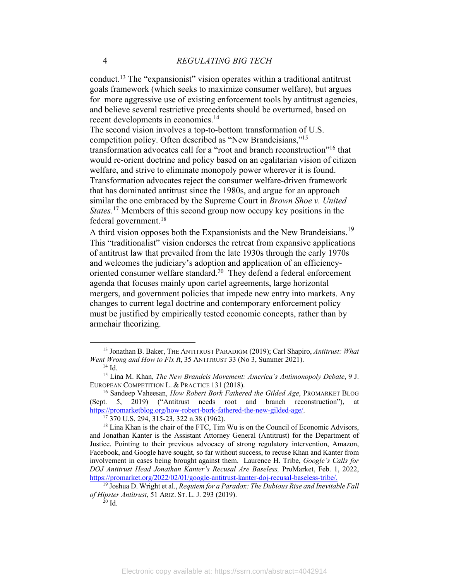conduct.13 The "expansionist" vision operates within a traditional antitrust goals framework (which seeks to maximize consumer welfare), but argues for more aggressive use of existing enforcement tools by antitrust agencies, and believe several restrictive precedents should be overturned, based on recent developments in economics. 14

The second vision involves a top-to-bottom transformation of U.S. competition policy. Often described as "New Brandeisians,"15 transformation advocates call for a "root and branch reconstruction"16 that would re-orient doctrine and policy based on an egalitarian vision of citizen welfare, and strive to eliminate monopoly power wherever it is found. Transformation advocates reject the consumer welfare-driven framework that has dominated antitrust since the 1980s, and argue for an approach similar the one embraced by the Supreme Court in *Brown Shoe v. United States*. <sup>17</sup> Members of this second group now occupy key positions in the federal government.<sup>18</sup>

A third vision opposes both the Expansionists and the New Brandeisians.<sup>19</sup> This "traditionalist" vision endorses the retreat from expansive applications of antitrust law that prevailed from the late 1930s through the early 1970s and welcomes the judiciary's adoption and application of an efficiencyoriented consumer welfare standard.20 They defend a federal enforcement agenda that focuses mainly upon cartel agreements, large horizontal mergers, and government policies that impede new entry into markets. Any changes to current legal doctrine and contemporary enforcement policy must be justified by empirically tested economic concepts, rather than by armchair theorizing.

<sup>13</sup> Jonathan B. Baker, THE ANTITRUST PARADIGM (2019); Carl Shapiro, *Antitrust: What Went Wrong and How to Fix I*t, 35 ANTITRUST 33 (No 3, Summer 2021).

 $14$  Id.

<sup>15</sup> Lina M. Khan, *The New Brandeis Movement: America's Antimonopoly Debate*, 9 J. EUROPEAN COMPETITION L. & PRACTICE 131 (2018). 16 Sandeep Vaheesan, *How Robert Bork Fathered the Gilded Age*, PROMARKET BLOG

<sup>(</sup>Sept. 5, 2019) ("Antitrust needs root and branch reconstruction"), at https://promarketblog.org/how-robert-bork-fathered-the-new-gilded-age/.

<sup>17</sup> 370 U.S. 294, 315-23, 322 n.38 (1962).

<sup>&</sup>lt;sup>18</sup> Lina Khan is the chair of the FTC, Tim Wu is on the Council of Economic Advisors, and Jonathan Kanter is the Assistant Attorney General (Antitrust) for the Department of Justice. Pointing to their previous advocacy of strong regulatory intervention, Amazon, Facebook, and Google have sought, so far without success, to recuse Khan and Kanter from involvement in cases being brought against them. Laurence H. Tribe, *Google's Calls for DOJ Antitrust Head Jonathan Kanter's Recusal Are Baseless,* ProMarket, Feb. 1, 2022, https://promarket.org/2022/02/01/google-antitrust-kanter-doj-recusal-baseless-tribe/. 19 Joshua D. Wright et al., *Requiem for a Paradox: The Dubious Rise and Inevitable Fall* 

*of Hipster Antitrust*, 51 ARIZ. ST. L. J. 293 (2019). 20 Id.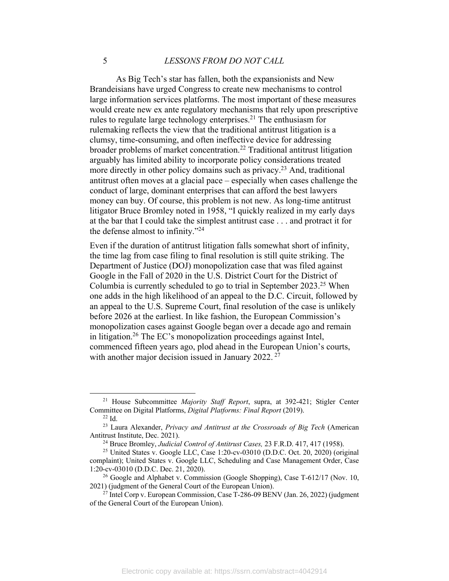As Big Tech's star has fallen, both the expansionists and New Brandeisians have urged Congress to create new mechanisms to control large information services platforms. The most important of these measures would create new ex ante regulatory mechanisms that rely upon prescriptive rules to regulate large technology enterprises.21 The enthusiasm for rulemaking reflects the view that the traditional antitrust litigation is a clumsy, time-consuming, and often ineffective device for addressing broader problems of market concentration.<sup>22</sup> Traditional antitrust litigation arguably has limited ability to incorporate policy considerations treated more directly in other policy domains such as privacy.<sup>23</sup> And, traditional antitrust often moves at a glacial pace – especially when cases challenge the conduct of large, dominant enterprises that can afford the best lawyers money can buy. Of course, this problem is not new. As long-time antitrust litigator Bruce Bromley noted in 1958, "I quickly realized in my early days at the bar that I could take the simplest antitrust case . . . and protract it for the defense almost to infinity."24

Even if the duration of antitrust litigation falls somewhat short of infinity, the time lag from case filing to final resolution is still quite striking. The Department of Justice (DOJ) monopolization case that was filed against Google in the Fall of 2020 in the U.S. District Court for the District of Columbia is currently scheduled to go to trial in September 2023. <sup>25</sup> When one adds in the high likelihood of an appeal to the D.C. Circuit, followed by an appeal to the U.S. Supreme Court, final resolution of the case is unlikely before 2026 at the earliest. In like fashion, the European Commission's monopolization cases against Google began over a decade ago and remain in litigation.26 The EC's monopolization proceedings against Intel, commenced fifteen years ago, plod ahead in the European Union's courts, with another major decision issued in January 2022.<sup>27</sup>

<sup>21</sup> House Subcommittee *Majority Staff Report*, supra, at 392-421; Stigler Center Committee on Digital Platforms, *Digital Platforms: Final Report* (2019).

<sup>22</sup> Id.

<sup>23</sup> Laura Alexander, *Privacy and Antitrust at the Crossroads of Big Tech* (American Antitrust Institute, Dec. 2021).

<sup>24</sup> Bruce Bromley, *Judicial Control of Antitrust Cases,* 23 F.R.D. 417, 417 (1958).

<sup>25</sup> United States v. Google LLC, Case 1:20-cv-03010 (D.D.C. Oct. 20, 2020) (original complaint); United States v. Google LLC, Scheduling and Case Management Order, Case 1:20-cv-03010 (D.D.C. Dec. 21, 2020).

 $^{26}$  Google and Alphabet v. Commission (Google Shopping), Case T-612/17 (Nov. 10, 2021) (judgment of the General Court of the European Union).<br><sup>27</sup> Intel Corp v. European Commission, Case T-286-09 BENV (Jan. 26, 2022) (judgment

of the General Court of the European Union).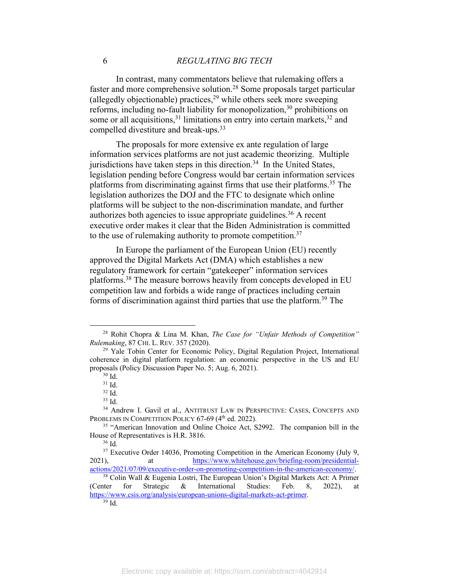In contrast, many commentators believe that rulemaking offers a faster and more comprehensive solution.28 Some proposals target particular (allegedly objectionable) practices,<sup>29</sup> while others seek more sweeping reforms, including no-fault liability for monopolization,<sup>30</sup> prohibitions on some or all acquisitions,<sup>31</sup> limitations on entry into certain markets,<sup>32</sup> and compelled divestiture and break-ups.33

The proposals for more extensive ex ante regulation of large information services platforms are not just academic theorizing. Multiple jurisdictions have taken steps in this direction.<sup>34</sup> In the United States, legislation pending before Congress would bar certain information services platforms from discriminating against firms that use their platforms.<sup>35</sup> The legislation authorizes the DOJ and the FTC to designate which online platforms will be subject to the non-discrimination mandate, and further authorizes both agencies to issue appropriate guidelines.<sup>36</sup> A recent executive order makes it clear that the Biden Administration is committed to the use of rulemaking authority to promote competition.<sup>37</sup>

In Europe the parliament of the European Union (EU) recently approved the Digital Markets Act (DMA) which establishes a new regulatory framework for certain "gatekeeper" information services platforms.38 The measure borrows heavily from concepts developed in EU competition law and forbids a wide range of practices including certain forms of discrimination against third parties that use the platform.39 The

<sup>28</sup> Rohit Chopra & Lina M. Khan, *The Case for "Unfair Methods of Competition" Rulemaking*, 87 CHI. L. REV. 357 (2020).

<sup>&</sup>lt;sup>29</sup> Yale Tobin Center for Economic Policy, Digital Regulation Project, International coherence in digital platform regulation: an economic perspective in the US and EU proposals (Policy Discussion Paper No. 5; Aug. 6, 2021).<br><sup>30</sup> Id.

<sup>31</sup> Id.

 $\frac{32}{33}$  Id.

<sup>&</sup>lt;sup>34</sup> Andrew I. Gavil et al., ANTITRUST LAW IN PERSPECTIVE: CASES, CONCEPTS AND PROBLEMS IN COMPETITION POLICY 67-69 (4<sup>th</sup> ed. 2022).

<sup>&</sup>lt;sup>35</sup> "American Innovation and Online Choice Act, S2992. The companion bill in the House of Representatives is H.R. 3816.<br><sup>36</sup> Id.

<sup>&</sup>lt;sup>37</sup> Executive Order 14036, Promoting Competition in the American Economy (July 9, 2021), at https://www.whitehouse.gov/briefing-room/presidential-

actions/2021/07/09/executive-order-on-promoting-competition-in-the-american-economy/.<br><sup>38</sup> Colin Wall & Eugenia Lostri, The European Union's Digital Markets Act: A Primer (Center for Strategic & International Studies: Feb. 8, 2022), at https://www.csis.org/analysis/european-unions-digital-markets-act-primer. 39 Id.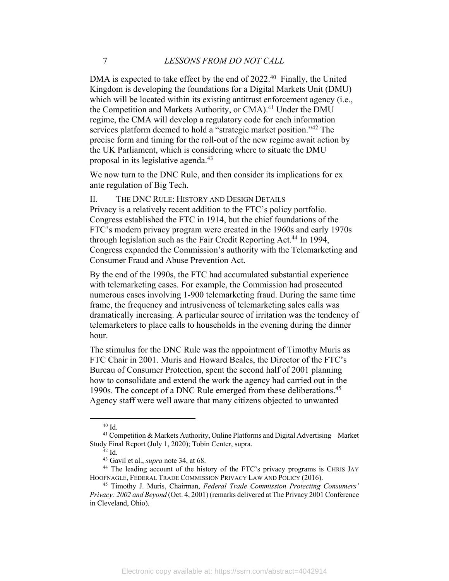DMA is expected to take effect by the end of 2022.<sup>40</sup> Finally, the United Kingdom is developing the foundations for a Digital Markets Unit (DMU) which will be located within its existing antitrust enforcement agency (i.e., the Competition and Markets Authority, or CMA).<sup>41</sup> Under the DMU regime, the CMA will develop a regulatory code for each information services platform deemed to hold a "strategic market position."<sup>42</sup> The precise form and timing for the roll-out of the new regime await action by the UK Parliament, which is considering where to situate the DMU proposal in its legislative agenda.<sup>43</sup>

We now turn to the DNC Rule, and then consider its implications for ex ante regulation of Big Tech.

## II. THE DNC RULE: HISTORY AND DESIGN DETAILS Privacy is a relatively recent addition to the FTC's policy portfolio.

Congress established the FTC in 1914, but the chief foundations of the FTC's modern privacy program were created in the 1960s and early 1970s through legislation such as the Fair Credit Reporting Act. <sup>44</sup> In 1994, Congress expanded the Commission's authority with the Telemarketing and Consumer Fraud and Abuse Prevention Act.

By the end of the 1990s, the FTC had accumulated substantial experience with telemarketing cases. For example, the Commission had prosecuted numerous cases involving 1-900 telemarketing fraud. During the same time frame, the frequency and intrusiveness of telemarketing sales calls was dramatically increasing. A particular source of irritation was the tendency of telemarketers to place calls to households in the evening during the dinner hour.

The stimulus for the DNC Rule was the appointment of Timothy Muris as FTC Chair in 2001. Muris and Howard Beales, the Director of the FTC's Bureau of Consumer Protection, spent the second half of 2001 planning how to consolidate and extend the work the agency had carried out in the 1990s. The concept of a DNC Rule emerged from these deliberations.<sup>45</sup> Agency staff were well aware that many citizens objected to unwanted

<sup>40</sup> Id.

<sup>41</sup> Competition & Markets Authority, Online Platforms and Digital Advertising – Market Study Final Report (July 1, 2020); Tobin Center, supra.

 $42$  Id.

<sup>43</sup> Gavil et al., *supra* note 34, at 68.

<sup>&</sup>lt;sup>44</sup> The leading account of the history of the FTC's privacy programs is CHRIS JAY HOOFNAGLE, FEDERAL TRADE COMMISSION PRIVACY LAW AND POLICY (2016).

<sup>45</sup> Timothy J. Muris, Chairman, *Federal Trade Commission Protecting Consumers' Privacy: 2002 and Beyond* (Oct. 4, 2001) (remarks delivered at The Privacy 2001 Conference in Cleveland, Ohio).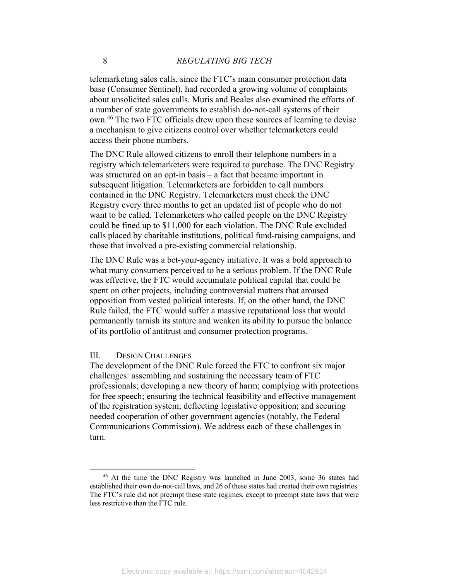telemarketing sales calls, since the FTC's main consumer protection data base (Consumer Sentinel), had recorded a growing volume of complaints about unsolicited sales calls. Muris and Beales also examined the efforts of a number of state governments to establish do-not-call systems of their own.46 The two FTC officials drew upon these sources of learning to devise a mechanism to give citizens control over whether telemarketers could access their phone numbers.

The DNC Rule allowed citizens to enroll their telephone numbers in a registry which telemarketers were required to purchase. The DNC Registry was structured on an opt-in basis – a fact that became important in subsequent litigation. Telemarketers are forbidden to call numbers contained in the DNC Registry. Telemarketers must check the DNC Registry every three months to get an updated list of people who do not want to be called. Telemarketers who called people on the DNC Registry could be fined up to \$11,000 for each violation. The DNC Rule excluded calls placed by charitable institutions, political fund-raising campaigns, and those that involved a pre-existing commercial relationship.

The DNC Rule was a bet-your-agency initiative. It was a bold approach to what many consumers perceived to be a serious problem. If the DNC Rule was effective, the FTC would accumulate political capital that could be spent on other projects, including controversial matters that aroused opposition from vested political interests. If, on the other hand, the DNC Rule failed, the FTC would suffer a massive reputational loss that would permanently tarnish its stature and weaken its ability to pursue the balance of its portfolio of antitrust and consumer protection programs.

#### III. DESIGN CHALLENGES

The development of the DNC Rule forced the FTC to confront six major challenges: assembling and sustaining the necessary team of FTC professionals; developing a new theory of harm; complying with protections for free speech; ensuring the technical feasibility and effective management of the registration system; deflecting legislative opposition; and securing needed cooperation of other government agencies (notably, the Federal Communications Commission). We address each of these challenges in turn.

<sup>46</sup> At the time the DNC Registry was launched in June 2003, some 36 states had established their own do-not-call laws, and 26 of these states had created their own registries. The FTC's rule did not preempt these state regimes, except to preempt state laws that were less restrictive than the FTC rule.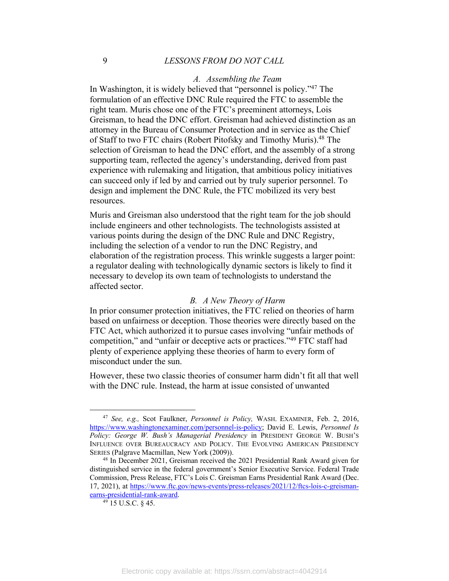#### 9 *LESSONS FROM DO NOT CALL*

#### *A. Assembling the Team*

In Washington, it is widely believed that "personnel is policy."47 The formulation of an effective DNC Rule required the FTC to assemble the right team. Muris chose one of the FTC's preeminent attorneys, Lois Greisman, to head the DNC effort. Greisman had achieved distinction as an attorney in the Bureau of Consumer Protection and in service as the Chief of Staff to two FTC chairs (Robert Pitofsky and Timothy Muris).<sup>48</sup> The selection of Greisman to head the DNC effort, and the assembly of a strong supporting team, reflected the agency's understanding, derived from past experience with rulemaking and litigation, that ambitious policy initiatives can succeed only if led by and carried out by truly superior personnel. To design and implement the DNC Rule, the FTC mobilized its very best resources.

Muris and Greisman also understood that the right team for the job should include engineers and other technologists. The technologists assisted at various points during the design of the DNC Rule and DNC Registry, including the selection of a vendor to run the DNC Registry, and elaboration of the registration process. This wrinkle suggests a larger point: a regulator dealing with technologically dynamic sectors is likely to find it necessary to develop its own team of technologists to understand the affected sector.

#### *B. A New Theory of Harm*

In prior consumer protection initiatives, the FTC relied on theories of harm based on unfairness or deception. Those theories were directly based on the FTC Act, which authorized it to pursue cases involving "unfair methods of competition," and "unfair or deceptive acts or practices."49 FTC staff had plenty of experience applying these theories of harm to every form of misconduct under the sun.

However, these two classic theories of consumer harm didn't fit all that well with the DNC rule. Instead, the harm at issue consisted of unwanted

<sup>47</sup> *See, e.g.,* Scot Faulkner, *Personnel is Policy,* WASH. EXAMINER, Feb. 2, 2016, https://www.washingtonexaminer.com/personnel-is-policy; David E. Lewis, *Personnel Is Policy: George W. Bush's Managerial Presidency* in PRESIDENT GEORGE W. BUSH'S INFLUENCE OVER BUREAUCRACY AND POLICY. THE EVOLVING AMERICAN PRESIDENCY SERIES (Palgrave Macmillan, New York (2009)). 48 In December 2021, Greisman received the 2021 Presidential Rank Award given for

distinguished service in the federal government's Senior Executive Service. Federal Trade Commission, Press Release, FTC's Lois C. Greisman Earns Presidential Rank Award (Dec. 17, 2021), at https://www.ftc.gov/news-events/press-releases/2021/12/ftcs-lois-c-greismanearns-presidential-rank-award. 49 15 U.S.C. § 45.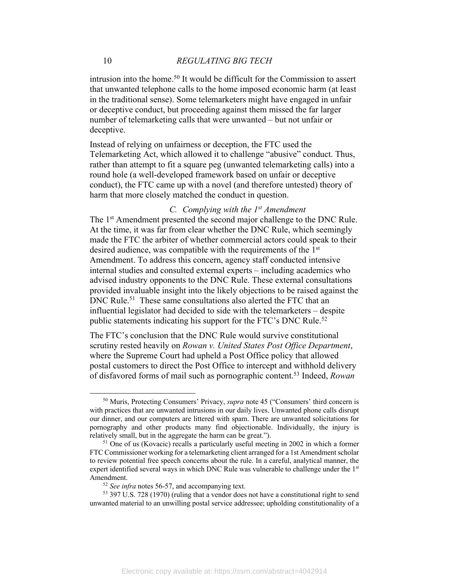intrusion into the home. <sup>50</sup> It would be difficult for the Commission to assert that unwanted telephone calls to the home imposed economic harm (at least in the traditional sense). Some telemarketers might have engaged in unfair or deceptive conduct, but proceeding against them missed the far larger number of telemarketing calls that were unwanted – but not unfair or deceptive.

Instead of relying on unfairness or deception, the FTC used the Telemarketing Act, which allowed it to challenge "abusive" conduct. Thus, rather than attempt to fit a square peg (unwanted telemarketing calls) into a round hole (a well-developed framework based on unfair or deceptive conduct), the FTC came up with a novel (and therefore untested) theory of harm that more closely matched the conduct in question.

#### *C. Complying with the 1st Amendment*

The 1<sup>st</sup> Amendment presented the second major challenge to the DNC Rule. At the time, it was far from clear whether the DNC Rule, which seemingly made the FTC the arbiter of whether commercial actors could speak to their desired audience, was compatible with the requirements of the 1<sup>st</sup> Amendment. To address this concern, agency staff conducted intensive internal studies and consulted external experts – including academics who advised industry opponents to the DNC Rule. These external consultations provided invaluable insight into the likely objections to be raised against the DNC Rule.<sup>51</sup> These same consultations also alerted the FTC that an influential legislator had decided to side with the telemarketers – despite public statements indicating his support for the FTC's DNC Rule.<sup>52</sup>

The FTC's conclusion that the DNC Rule would survive constitutional scrutiny rested heavily on *Rowan v. United States Post Office Department*, where the Supreme Court had upheld a Post Office policy that allowed postal customers to direct the Post Office to intercept and withhold delivery of disfavored forms of mail such as pornographic content.53 Indeed, *Rowan*

<sup>50</sup> Muris, Protecting Consumers' Privacy, *supra* note 45 ("Consumers' third concern is with practices that are unwanted intrusions in our daily lives. Unwanted phone calls disrupt our dinner, and our computers are littered with spam. There are unwanted solicitations for pornography and other products many find objectionable. Individually, the injury is relatively small, but in the aggregate the harm can be great.").

<sup>&</sup>lt;sup>51</sup> One of us (Kovacic) recalls a particularly useful meeting in 2002 in which a former FTC Commissioner working for a telemarketing client arranged for a 1st Amendment scholar to review potential free speech concerns about the rule. In a careful, analytical manner, the expert identified several ways in which DNC Rule was vulnerable to challenge under the  $1<sup>st</sup>$ Amendment.<br><sup>52</sup> *See infra* notes 56-57, and accompanying text.

<sup>53</sup> 397 U.S. 728 (1970) (ruling that a vendor does not have a constitutional right to send unwanted material to an unwilling postal service addressee; upholding constitutionality of a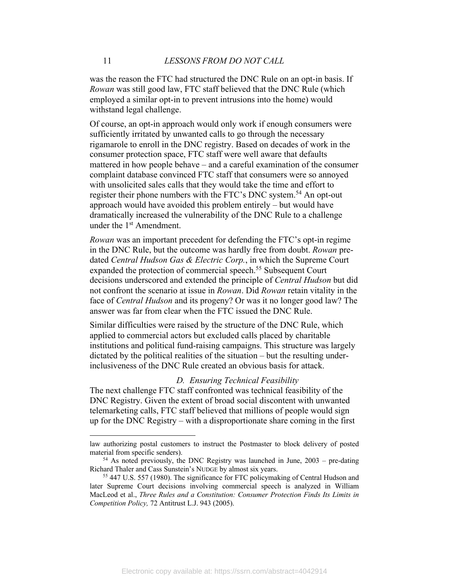was the reason the FTC had structured the DNC Rule on an opt-in basis. If *Rowan* was still good law, FTC staff believed that the DNC Rule (which employed a similar opt-in to prevent intrusions into the home) would withstand legal challenge.

Of course, an opt-in approach would only work if enough consumers were sufficiently irritated by unwanted calls to go through the necessary rigamarole to enroll in the DNC registry. Based on decades of work in the consumer protection space, FTC staff were well aware that defaults mattered in how people behave – and a careful examination of the consumer complaint database convinced FTC staff that consumers were so annoyed with unsolicited sales calls that they would take the time and effort to register their phone numbers with the FTC's DNC system.<sup>54</sup> An opt-out approach would have avoided this problem entirely – but would have dramatically increased the vulnerability of the DNC Rule to a challenge under the 1<sup>st</sup> Amendment.

*Rowan* was an important precedent for defending the FTC's opt-in regime in the DNC Rule, but the outcome was hardly free from doubt. *Rowan* predated *Central Hudson Gas & Electric Corp.*, in which the Supreme Court expanded the protection of commercial speech.<sup>55</sup> Subsequent Court decisions underscored and extended the principle of *Central Hudson* but did not confront the scenario at issue in *Rowan*. Did *Rowan* retain vitality in the face of *Central Hudson* and its progeny? Or was it no longer good law? The answer was far from clear when the FTC issued the DNC Rule.

Similar difficulties were raised by the structure of the DNC Rule, which applied to commercial actors but excluded calls placed by charitable institutions and political fund-raising campaigns. This structure was largely dictated by the political realities of the situation – but the resulting underinclusiveness of the DNC Rule created an obvious basis for attack.

#### *D. Ensuring Technical Feasibility*

The next challenge FTC staff confronted was technical feasibility of the DNC Registry. Given the extent of broad social discontent with unwanted telemarketing calls, FTC staff believed that millions of people would sign up for the DNC Registry – with a disproportionate share coming in the first

Electronic copy available at: https://ssrn.com/abstract=4042914

law authorizing postal customers to instruct the Postmaster to block delivery of posted material from specific senders).

 $54$  As noted previously, the DNC Registry was launched in June,  $2003$  – pre-dating Richard Thaler and Cass Sunstein's NUDGE by almost six years.

<sup>&</sup>lt;sup>55</sup> 447 U.S. 557 (1980). The significance for FTC policymaking of Central Hudson and later Supreme Court decisions involving commercial speech is analyzed in William MacLeod et al., *Three Rules and a Constitution: Consumer Protection Finds Its Limits in Competition Policy,* 72 Antitrust L.J. 943 (2005).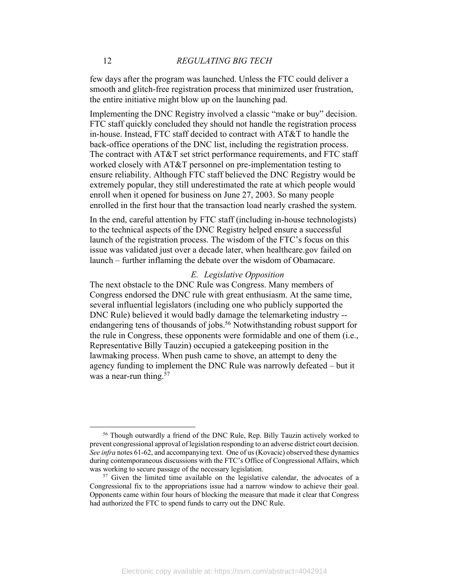few days after the program was launched. Unless the FTC could deliver a smooth and glitch-free registration process that minimized user frustration, the entire initiative might blow up on the launching pad.

Implementing the DNC Registry involved a classic "make or buy" decision. FTC staff quickly concluded they should not handle the registration process in-house. Instead, FTC staff decided to contract with AT&T to handle the back-office operations of the DNC list, including the registration process. The contract with AT&T set strict performance requirements, and FTC staff worked closely with AT&T personnel on pre-implementation testing to ensure reliability. Although FTC staff believed the DNC Registry would be extremely popular, they still underestimated the rate at which people would enroll when it opened for business on June 27, 2003. So many people enrolled in the first hour that the transaction load nearly crashed the system.

In the end, careful attention by FTC staff (including in-house technologists) to the technical aspects of the DNC Registry helped ensure a successful launch of the registration process. The wisdom of the FTC's focus on this issue was validated just over a decade later, when healthcare.gov failed on launch – further inflaming the debate over the wisdom of Obamacare.

### *E. Legislative Opposition*

The next obstacle to the DNC Rule was Congress. Many members of Congress endorsed the DNC rule with great enthusiasm. At the same time, several influential legislators (including one who publicly supported the DNC Rule) believed it would badly damage the telemarketing industry - endangering tens of thousands of jobs.<sup>56</sup> Notwithstanding robust support for the rule in Congress, these opponents were formidable and one of them (i.e., Representative Billy Tauzin) occupied a gatekeeping position in the lawmaking process. When push came to shove, an attempt to deny the agency funding to implement the DNC Rule was narrowly defeated – but it was a near-run thing.<sup>57</sup>

<sup>56</sup> Though outwardly a friend of the DNC Rule, Rep. Billy Tauzin actively worked to prevent congressional approval of legislation responding to an adverse district court decision. *See infra* notes 61-62, and accompanying text. One of us (Kovacic) observed these dynamics during contemporaneous discussions with the FTC's Office of Congressional Affairs, which was working to secure passage of the necessary legislation.<br><sup>57</sup> Given the limited time available on the legislative calendar, the advocates of a

Congressional fix to the appropriations issue had a narrow window to achieve their goal. Opponents came within four hours of blocking the measure that made it clear that Congress had authorized the FTC to spend funds to carry out the DNC Rule.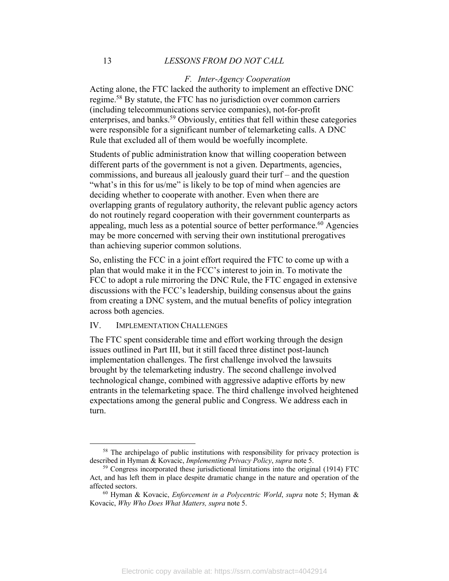#### 13 *LESSONS FROM DO NOT CALL*

#### *F. Inter-Agency Cooperation*

Acting alone, the FTC lacked the authority to implement an effective DNC regime.58 By statute, the FTC has no jurisdiction over common carriers (including telecommunications service companies), not-for-profit enterprises, and banks.<sup>59</sup> Obviously, entities that fell within these categories were responsible for a significant number of telemarketing calls. A DNC Rule that excluded all of them would be woefully incomplete.

Students of public administration know that willing cooperation between different parts of the government is not a given. Departments, agencies, commissions, and bureaus all jealously guard their turf – and the question "what's in this for us/me" is likely to be top of mind when agencies are deciding whether to cooperate with another. Even when there are overlapping grants of regulatory authority, the relevant public agency actors do not routinely regard cooperation with their government counterparts as appealing, much less as a potential source of better performance.<sup>60</sup> Agencies may be more concerned with serving their own institutional prerogatives than achieving superior common solutions.

So, enlisting the FCC in a joint effort required the FTC to come up with a plan that would make it in the FCC's interest to join in. To motivate the FCC to adopt a rule mirroring the DNC Rule, the FTC engaged in extensive discussions with the FCC's leadership, building consensus about the gains from creating a DNC system, and the mutual benefits of policy integration across both agencies.

#### IV. IMPLEMENTATION CHALLENGES

The FTC spent considerable time and effort working through the design issues outlined in Part III, but it still faced three distinct post-launch implementation challenges. The first challenge involved the lawsuits brought by the telemarketing industry. The second challenge involved technological change, combined with aggressive adaptive efforts by new entrants in the telemarketing space. The third challenge involved heightened expectations among the general public and Congress. We address each in turn.

<sup>&</sup>lt;sup>58</sup> The archipelago of public institutions with responsibility for privacy protection is described in Hyman & Kovacic, *Implementing Privacy Policy*, *supra* note 5.<br><sup>59</sup> Congress incorporated these jurisdictional limitations into the original (1914) FTC

Act, and has left them in place despite dramatic change in the nature and operation of the affected sectors.

<sup>60</sup> Hyman & Kovacic, *Enforcement in a Polycentric World*, *supra* note 5; Hyman & Kovacic, *Why Who Does What Matters, supra* note 5.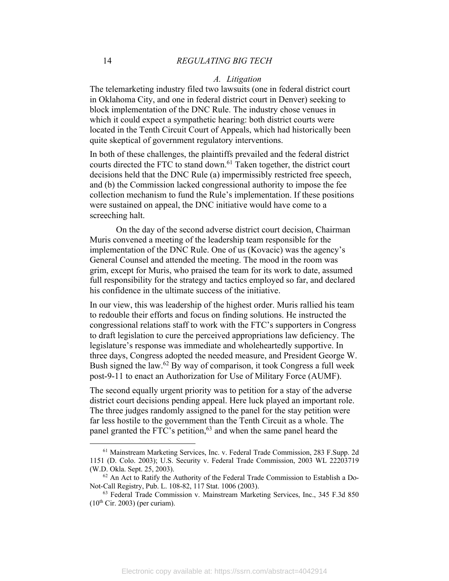#### *A. Litigation*

The telemarketing industry filed two lawsuits (one in federal district court in Oklahoma City, and one in federal district court in Denver) seeking to block implementation of the DNC Rule. The industry chose venues in which it could expect a sympathetic hearing: both district courts were located in the Tenth Circuit Court of Appeals, which had historically been quite skeptical of government regulatory interventions.

In both of these challenges, the plaintiffs prevailed and the federal district courts directed the FTC to stand down.61 Taken together, the district court decisions held that the DNC Rule (a) impermissibly restricted free speech, and (b) the Commission lacked congressional authority to impose the fee collection mechanism to fund the Rule's implementation. If these positions were sustained on appeal, the DNC initiative would have come to a screeching halt.

On the day of the second adverse district court decision, Chairman Muris convened a meeting of the leadership team responsible for the implementation of the DNC Rule. One of us (Kovacic) was the agency's General Counsel and attended the meeting. The mood in the room was grim, except for Muris, who praised the team for its work to date, assumed full responsibility for the strategy and tactics employed so far, and declared his confidence in the ultimate success of the initiative.

In our view, this was leadership of the highest order. Muris rallied his team to redouble their efforts and focus on finding solutions. He instructed the congressional relations staff to work with the FTC's supporters in Congress to draft legislation to cure the perceived appropriations law deficiency. The legislature's response was immediate and wholeheartedly supportive. In three days, Congress adopted the needed measure, and President George W. Bush signed the law.<sup>62</sup> By way of comparison, it took Congress a full week post-9-11 to enact an Authorization for Use of Military Force (AUMF).

The second equally urgent priority was to petition for a stay of the adverse district court decisions pending appeal. Here luck played an important role. The three judges randomly assigned to the panel for the stay petition were far less hostile to the government than the Tenth Circuit as a whole. The panel granted the FTC's petition,<sup>63</sup> and when the same panel heard the

<sup>61</sup> Mainstream Marketing Services, Inc. v. Federal Trade Commission, 283 F.Supp. 2d 1151 (D. Colo. 2003); U.S. Security v. Federal Trade Commission, 2003 WL 22203719 (W.D. Okla. Sept. 25, 2003).

 $62$  An Act to Ratify the Authority of the Federal Trade Commission to Establish a Do-Not-Call Registry, Pub. L. 108-82, 117 Stat. 1006 (2003).

<sup>63</sup> Federal Trade Commission v. Mainstream Marketing Services, Inc., 345 F.3d 850  $(10<sup>th</sup> Cir. 2003)$  (per curiam).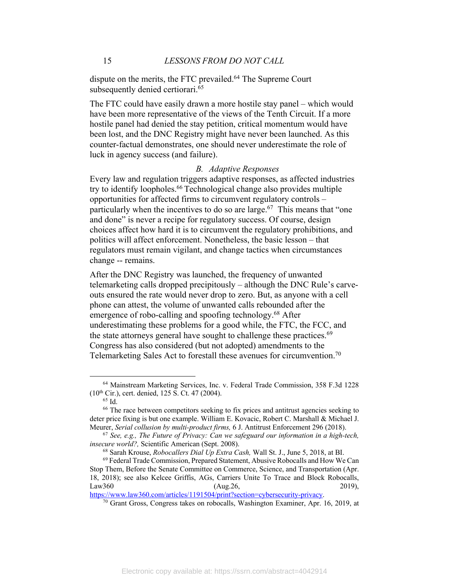dispute on the merits, the FTC prevailed. <sup>64</sup> The Supreme Court subsequently denied certiorari.<sup>65</sup>

The FTC could have easily drawn a more hostile stay panel – which would have been more representative of the views of the Tenth Circuit. If a more hostile panel had denied the stay petition, critical momentum would have been lost, and the DNC Registry might have never been launched. As this counter-factual demonstrates, one should never underestimate the role of luck in agency success (and failure).

#### *B. Adaptive Responses*

Every law and regulation triggers adaptive responses, as affected industries try to identify loopholes. <sup>66</sup> Technological change also provides multiple opportunities for affected firms to circumvent regulatory controls – particularly when the incentives to do so are large.<sup>67</sup> This means that "one and done" is never a recipe for regulatory success. Of course, design choices affect how hard it is to circumvent the regulatory prohibitions, and politics will affect enforcement. Nonetheless, the basic lesson – that regulators must remain vigilant, and change tactics when circumstances change -- remains.

After the DNC Registry was launched, the frequency of unwanted telemarketing calls dropped precipitously – although the DNC Rule's carveouts ensured the rate would never drop to zero. But, as anyone with a cell phone can attest, the volume of unwanted calls rebounded after the emergence of robo-calling and spoofing technology.<sup>68</sup> After underestimating these problems for a good while, the FTC, the FCC, and the state attorneys general have sought to challenge these practices.<sup>69</sup> Congress has also considered (but not adopted) amendments to the Telemarketing Sales Act to forestall these avenues for circumvention.70

<sup>64</sup> Mainstream Marketing Services, Inc. v. Federal Trade Commission, 358 F.3d 1228  $(10^{th}$  Cir.), cert. denied, 125 S. Ct. 47 (2004).

 $65$  Id.

<sup>&</sup>lt;sup>66</sup> The race between competitors seeking to fix prices and antitrust agencies seeking to deter price fixing is but one example. William E. Kovacic, Robert C. Marshall & Michael J. Meurer, *Serial collusion by multi-product firms,* 6 J. Antitrust Enforcement 296 (2018).

<sup>67</sup> *See, e.g., The Future of Privacy: Can we safeguard our information in a high-tech, insecure world?,* Scientific American (Sept. 2008).

<sup>68</sup> Sarah Krouse, *Robocallers Dial Up Extra Cash,* Wall St. J., June 5, 2018, at BI.

 $69$  Federal Trade Commission, Prepared Statement, Abusive Robocalls and How We Can Stop Them, Before the Senate Committee on Commerce, Science, and Transportation (Apr. 18, 2018); see also Kelcee Griffis, AGs, Carriers Unite To Trace and Block Robocalls, Law360 (Aug.26, 2019), 1ttps://www.law360.com/articles/1191504/print?section=cybersecurity-privacy.

<sup>&</sup>lt;sup>70</sup> Grant Gross, Congress takes on robocalls, Washington Examiner, Apr. 16, 2019, at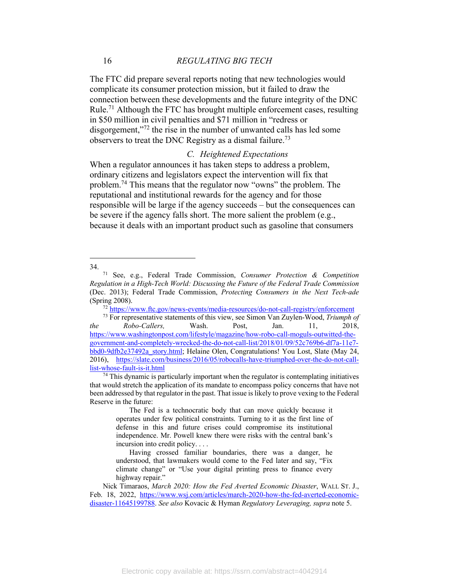The FTC did prepare several reports noting that new technologies would complicate its consumer protection mission, but it failed to draw the connection between these developments and the future integrity of the DNC Rule.<sup>71</sup> Although the FTC has brought multiple enforcement cases, resulting in \$50 million in civil penalties and \$71 million in "redress or disgorgement,"72 the rise in the number of unwanted calls has led some observers to treat the DNC Registry as a dismal failure.<sup>73</sup>

## *C. Heightened Expectations*

When a regulator announces it has taken steps to address a problem, ordinary citizens and legislators expect the intervention will fix that problem.74 This means that the regulator now "owns" the problem. The reputational and institutional rewards for the agency and for those responsible will be large if the agency succeeds – but the consequences can be severe if the agency falls short. The more salient the problem (e.g., because it deals with an important product such as gasoline that consumers

34.

<sup>71</sup> See, e.g., Federal Trade Commission, *Consumer Protection & Competition Regulation in a High-Tech World: Discussing the Future of the Federal Trade Commission*  (Dec. 2013); Federal Trade Commission, *Protecting Consumers in the Next Tech-ade* (Spring 2008).

<sup>&</sup>lt;sup>72</sup> https://www.ftc.gov/news-events/media-resources/do-not-call-registry/enforcement

<sup>73</sup> For representative statements of this view, see Simon Van Zuylen-Wood, *Triumph of the Robo-Callers,* Wash. Post, Jan. 11, 2018, https://www.washingtonpost.com/lifestyle/magazine/how-robo-call-moguls-outwitted-thegovernment-and-completely-wrecked-the-do-not-call-list/2018/01/09/52c769b6-df7a-11e7 bbd0-9dfb2e37492a\_story.html; Helaine Olen, Congratulations! You Lost, Slate (May 24, 2016), https://slate.com/business/2016/05/robocalls-have-triumphed-over-the-do-not-calllist-whose-fault-is-it.html

 $74$  This dynamic is particularly important when the regulator is contemplating initiatives that would stretch the application of its mandate to encompass policy concerns that have not been addressed by that regulator in the past. That issue is likely to prove vexing to the Federal Reserve in the future:

The Fed is a technocratic body that can move quickly because it operates under few political constraints. Turning to it as the first line of defense in this and future crises could compromise its institutional independence. Mr. Powell knew there were risks with the central bank's incursion into credit policy. . . .

Having crossed familiar boundaries, there was a danger, he understood, that lawmakers would come to the Fed later and say, "Fix climate change" or "Use your digital printing press to finance every highway repair."

Nick Timaraos, *March 2020: How the Fed Averted Economic Disaster*, WALL ST. J., Feb. 18, 2022, https://www.wsj.com/articles/march-2020-how-the-fed-averted-economicdisaster-11645199788. *See also* Kovacic & Hyman *Regulatory Leveraging, supra* note 5.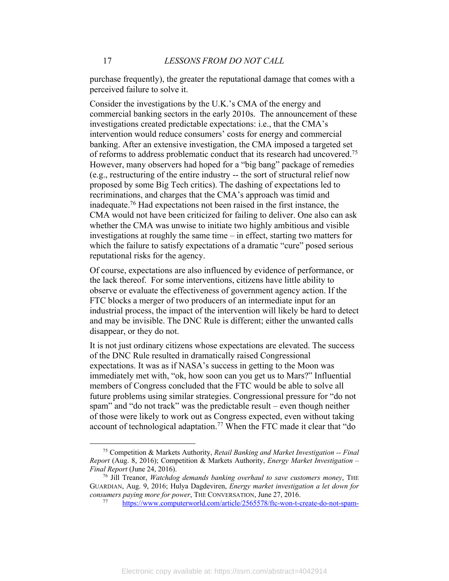purchase frequently), the greater the reputational damage that comes with a perceived failure to solve it.

Consider the investigations by the U.K.'s CMA of the energy and commercial banking sectors in the early 2010s. The announcement of these investigations created predictable expectations: i.e., that the CMA's intervention would reduce consumers' costs for energy and commercial banking. After an extensive investigation, the CMA imposed a targeted set of reforms to address problematic conduct that its research had uncovered.75 However, many observers had hoped for a "big bang" package of remedies (e.g., restructuring of the entire industry -- the sort of structural relief now proposed by some Big Tech critics). The dashing of expectations led to recriminations, and charges that the CMA's approach was timid and inadequate. <sup>76</sup> Had expectations not been raised in the first instance, the CMA would not have been criticized for failing to deliver. One also can ask whether the CMA was unwise to initiate two highly ambitious and visible investigations at roughly the same time – in effect, starting two matters for which the failure to satisfy expectations of a dramatic "cure" posed serious reputational risks for the agency.

Of course, expectations are also influenced by evidence of performance, or the lack thereof. For some interventions, citizens have little ability to observe or evaluate the effectiveness of government agency action. If the FTC blocks a merger of two producers of an intermediate input for an industrial process, the impact of the intervention will likely be hard to detect and may be invisible. The DNC Rule is different; either the unwanted calls disappear, or they do not.

It is not just ordinary citizens whose expectations are elevated. The success of the DNC Rule resulted in dramatically raised Congressional expectations. It was as if NASA's success in getting to the Moon was immediately met with, "ok, how soon can you get us to Mars?" Influential members of Congress concluded that the FTC would be able to solve all future problems using similar strategies. Congressional pressure for "do not spam" and "do not track" was the predictable result – even though neither of those were likely to work out as Congress expected, even without taking account of technological adaptation. <sup>77</sup> When the FTC made it clear that "do

<sup>75</sup> Competition & Markets Authority, *Retail Banking and Market Investigation -- Final Report* (Aug. 8, 2016); Competition & Markets Authority, *Energy Market Investigation – Final Report* (June 24, 2016).

<sup>76</sup> Jill Treanor, *Watchdog demands banking overhaul to save customers money*, THE GUARDIAN, Aug. 9, 2016; Hulya Dagdeviren, *Energy market investigation a let down for consumers paying more for power*, THE CONVERSATION, June 27, 2016.

<sup>77</sup> https://www.computerworld.com/article/2565578/ftc-won-t-create-do-not-spam-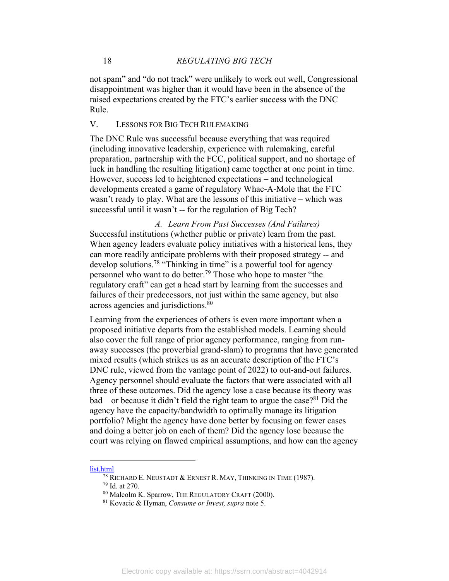not spam" and "do not track" were unlikely to work out well, Congressional disappointment was higher than it would have been in the absence of the raised expectations created by the FTC's earlier success with the DNC Rule.

#### V. LESSONS FOR BIG TECH RULEMAKING

The DNC Rule was successful because everything that was required (including innovative leadership, experience with rulemaking, careful preparation, partnership with the FCC, political support, and no shortage of luck in handling the resulting litigation) came together at one point in time. However, success led to heightened expectations – and technological developments created a game of regulatory Whac-A-Mole that the FTC wasn't ready to play. What are the lessons of this initiative – which was successful until it wasn't -- for the regulation of Big Tech?

*A. Learn From Past Successes (And Failures)* Successful institutions (whether public or private) learn from the past. When agency leaders evaluate policy initiatives with a historical lens, they can more readily anticipate problems with their proposed strategy -- and develop solutions.<sup>78</sup> "Thinking in time" is a powerful tool for agency personnel who want to do better. <sup>79</sup> Those who hope to master "the regulatory craft" can get a head start by learning from the successes and failures of their predecessors, not just within the same agency, but also across agencies and jurisdictions. 80

Learning from the experiences of others is even more important when a proposed initiative departs from the established models. Learning should also cover the full range of prior agency performance, ranging from runaway successes (the proverbial grand-slam) to programs that have generated mixed results (which strikes us as an accurate description of the FTC's DNC rule, viewed from the vantage point of 2022) to out-and-out failures. Agency personnel should evaluate the factors that were associated with all three of these outcomes. Did the agency lose a case because its theory was bad – or because it didn't field the right team to argue the case?<sup>81</sup> Did the agency have the capacity/bandwidth to optimally manage its litigation portfolio? Might the agency have done better by focusing on fewer cases and doing a better job on each of them? Did the agency lose because the court was relying on flawed empirical assumptions, and how can the agency

#### list.html

<sup>78</sup> RICHARD E. NEUSTADT & ERNEST R. MAY, THINKING IN TIME (1987).

<sup>79</sup> Id. at 270.

<sup>80</sup> Malcolm K. Sparrow, THE REGULATORY CRAFT (2000).

<sup>81</sup> Kovacic & Hyman, *Consume or Invest, supra* note 5.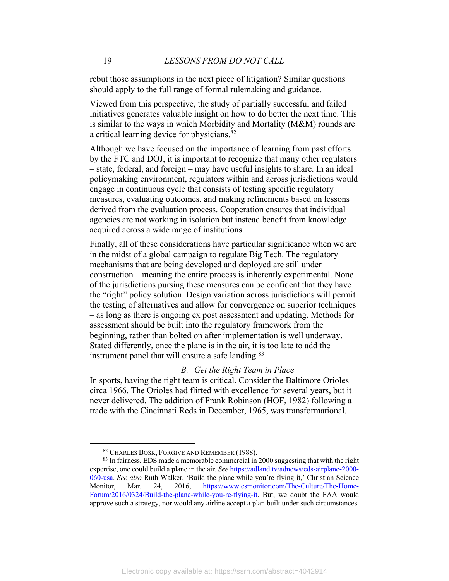#### 19 *LESSONS FROM DO NOT CALL*

rebut those assumptions in the next piece of litigation? Similar questions should apply to the full range of formal rulemaking and guidance.

Viewed from this perspective, the study of partially successful and failed initiatives generates valuable insight on how to do better the next time. This is similar to the ways in which Morbidity and Mortality (M&M) rounds are a critical learning device for physicians.<sup>82</sup>

Although we have focused on the importance of learning from past efforts by the FTC and DOJ, it is important to recognize that many other regulators – state, federal, and foreign – may have useful insights to share. In an ideal policymaking environment, regulators within and across jurisdictions would engage in continuous cycle that consists of testing specific regulatory measures, evaluating outcomes, and making refinements based on lessons derived from the evaluation process. Cooperation ensures that individual agencies are not working in isolation but instead benefit from knowledge acquired across a wide range of institutions.

Finally, all of these considerations have particular significance when we are in the midst of a global campaign to regulate Big Tech. The regulatory mechanisms that are being developed and deployed are still under construction – meaning the entire process is inherently experimental. None of the jurisdictions pursing these measures can be confident that they have the "right" policy solution. Design variation across jurisdictions will permit the testing of alternatives and allow for convergence on superior techniques – as long as there is ongoing ex post assessment and updating. Methods for assessment should be built into the regulatory framework from the beginning, rather than bolted on after implementation is well underway. Stated differently, once the plane is in the air, it is too late to add the instrument panel that will ensure a safe landing.<sup>83</sup>

#### *B. Get the Right Team in Place*

In sports, having the right team is critical. Consider the Baltimore Orioles circa 1966. The Orioles had flirted with excellence for several years, but it never delivered. The addition of Frank Robinson (HOF, 1982) following a trade with the Cincinnati Reds in December, 1965, was transformational.

<sup>82</sup> CHARLES BOSK, FORGIVE AND REMEMBER (1988).

<sup>&</sup>lt;sup>83</sup> In fairness, EDS made a memorable commercial in 2000 suggesting that with the right expertise, one could build a plane in the air. *See* https://adland.tv/adnews/eds-airplane-2000- 060-usa. *See also* Ruth Walker, 'Build the plane while you're flying it,' Christian Science Monitor, Mar. 24, 2016, https://www.csmonitor.com/The-Culture/The-Home-Forum/2016/0324/Build-the-plane-while-you-re-flying-it. But, we doubt the FAA would approve such a strategy, nor would any airline accept a plan built under such circumstances.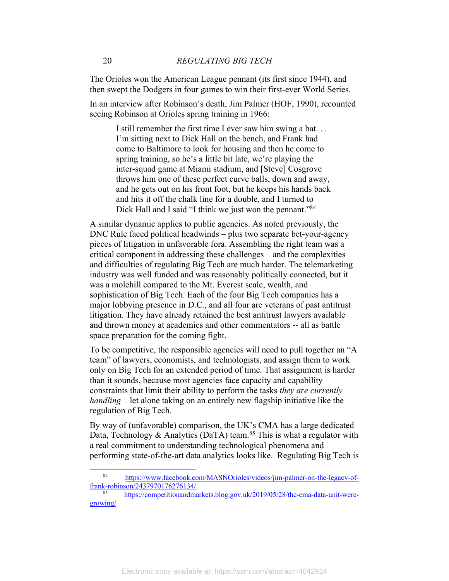The Orioles won the American League pennant (its first since 1944), and then swept the Dodgers in four games to win their first-ever World Series.

In an interview after Robinson's death, Jim Palmer (HOF, 1990), recounted seeing Robinson at Orioles spring training in 1966:

I still remember the first time I ever saw him swing a bat. . . I'm sitting next to Dick Hall on the bench, and Frank had come to Baltimore to look for housing and then he come to spring training, so he's a little bit late, we're playing the inter-squad game at Miami stadium, and [Steve] Cosgrove throws him one of these perfect curve balls, down and away, and he gets out on his front foot, but he keeps his hands back and hits it off the chalk line for a double, and I turned to Dick Hall and I said "I think we just won the pennant."84

A similar dynamic applies to public agencies. As noted previously, the DNC Rule faced political headwinds – plus two separate bet-your-agency pieces of litigation in unfavorable fora. Assembling the right team was a critical component in addressing these challenges – and the complexities and difficulties of regulating Big Tech are much harder. The telemarketing industry was well funded and was reasonably politically connected, but it was a molehill compared to the Mt. Everest scale, wealth, and sophistication of Big Tech. Each of the four Big Tech companies has a major lobbying presence in D.C., and all four are veterans of past antitrust litigation. They have already retained the best antitrust lawyers available and thrown money at academics and other commentators -- all as battle space preparation for the coming fight.

To be competitive, the responsible agencies will need to pull together an "A team" of lawyers, economists, and technologists, and assign them to work only on Big Tech for an extended period of time. That assignment is harder than it sounds, because most agencies face capacity and capability constraints that limit their ability to perform the tasks *they are currently handling* – let alone taking on an entirely new flagship initiative like the regulation of Big Tech.

By way of (unfavorable) comparison, the UK's CMA has a large dedicated Data, Technology & Analytics (DaTA) team.<sup>85</sup> This is what a regulator with a real commitment to understanding technological phenomena and performing state-of-the-art data analytics looks like. Regulating Big Tech is

<sup>84</sup> https://www.facebook.com/MASNOrioles/videos/jim-palmer-on-the-legacy-offrank-robinson/2437970176276134/. 85 https://competitionandmarkets.blog.gov.uk/2019/05/28/the-cma-data-unit-were-

growing/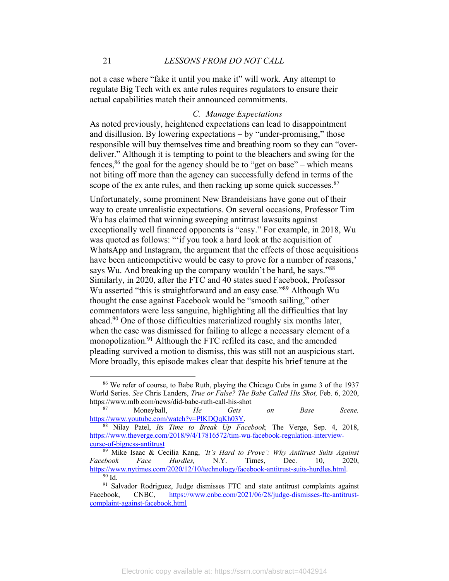not a case where "fake it until you make it" will work. Any attempt to regulate Big Tech with ex ante rules requires regulators to ensure their actual capabilities match their announced commitments.

#### *C. Manage Expectations*

As noted previously, heightened expectations can lead to disappointment and disillusion. By lowering expectations – by "under-promising," those responsible will buy themselves time and breathing room so they can "overdeliver." Although it is tempting to point to the bleachers and swing for the fences,<sup>86</sup> the goal for the agency should be to "get on base" – which means not biting off more than the agency can successfully defend in terms of the scope of the ex ante rules, and then racking up some quick successes.<sup>87</sup>

Unfortunately, some prominent New Brandeisians have gone out of their way to create unrealistic expectations. On several occasions, Professor Tim Wu has claimed that winning sweeping antitrust lawsuits against exceptionally well financed opponents is "easy." For example, in 2018, Wu was quoted as follows: "'if you took a hard look at the acquisition of WhatsApp and Instagram, the argument that the effects of those acquisitions have been anticompetitive would be easy to prove for a number of reasons,' says Wu. And breaking up the company wouldn't be hard, he says."<sup>88</sup> Similarly, in 2020, after the FTC and 40 states sued Facebook, Professor Wu asserted "this is straightforward and an easy case."<sup>89</sup> Although Wu thought the case against Facebook would be "smooth sailing," other commentators were less sanguine, highlighting all the difficulties that lay ahead.<sup>90</sup> One of those difficulties materialized roughly six months later, when the case was dismissed for failing to allege a necessary element of a monopolization.<sup>91</sup> Although the FTC refiled its case, and the amended pleading survived a motion to dismiss, this was still not an auspicious start. More broadly, this episode makes clear that despite his brief tenure at the

<sup>86</sup> We refer of course, to Babe Ruth, playing the Chicago Cubs in game 3 of the 1937 World Series. *See* Chris Landers, *True or False? The Babe Called His Shot,* Feb. 6, 2020, https://www.mlb.com/news/did-babe-ruth-call-his-shot

<sup>87</sup> Moneyball, *He Gets on Base Scene,* https://www.youtube.com/watch?v=PlKDQqKh03Y. 88 Nilay Patel, *Its Time to Break Up Facebook,* The Verge, Sep. 4, 2018,

https://www.theverge.com/2018/9/4/17816572/tim-wu-facebook-regulation-interviewcurse-of-bigness-antitrust

<sup>89</sup> Mike Isaac & Cecilia Kang, *'It's Hard to Prove': Why Antitrust Suits Against Facebook Face Hurdles,* N.Y. Times, Dec. 10, 2020, https://www.nytimes.com/2020/12/10/technology/facebook-antitrust-suits-hurdles.html.<br><sup>90</sup> Id. <sup>91</sup> Salvador Rodriguez, Judge dismisses FTC and state antitrust complaints against

Facebook, CNBC, https://www.cnbc.com/2021/06/28/judge-dismisses-ftc-antitrustcomplaint-against-facebook.html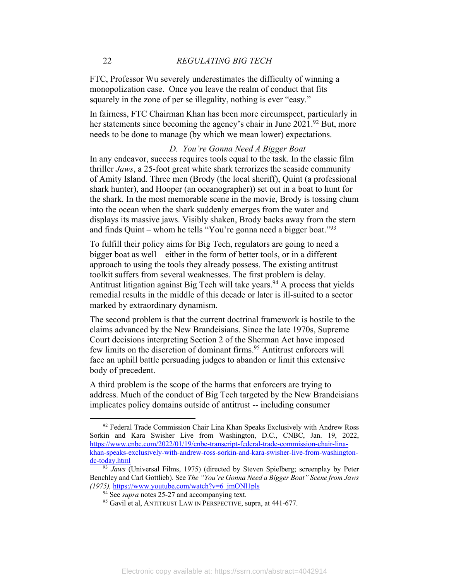FTC, Professor Wu severely underestimates the difficulty of winning a monopolization case. Once you leave the realm of conduct that fits squarely in the zone of per se illegality, nothing is ever "easy."

In fairness, FTC Chairman Khan has been more circumspect, particularly in her statements since becoming the agency's chair in June 2021.<sup>92</sup> But, more needs to be done to manage (by which we mean lower) expectations.

#### *D. You're Gonna Need A Bigger Boat*

In any endeavor, success requires tools equal to the task. In the classic film thriller *Jaws*, a 25-foot great white shark terrorizes the seaside community of Amity Island. Three men (Brody (the local sheriff), Quint (a professional shark hunter), and Hooper (an oceanographer)) set out in a boat to hunt for the shark. In the most memorable scene in the movie, Brody is tossing chum into the ocean when the shark suddenly emerges from the water and displays its massive jaws. Visibly shaken, Brody backs away from the stern and finds Quint – whom he tells "You're gonna need a bigger boat."93

To fulfill their policy aims for Big Tech, regulators are going to need a bigger boat as well – either in the form of better tools, or in a different approach to using the tools they already possess. The existing antitrust toolkit suffers from several weaknesses. The first problem is delay. Antitrust litigation against Big Tech will take years.<sup>94</sup> A process that yields remedial results in the middle of this decade or later is ill-suited to a sector marked by extraordinary dynamism.

The second problem is that the current doctrinal framework is hostile to the claims advanced by the New Brandeisians. Since the late 1970s, Supreme Court decisions interpreting Section 2 of the Sherman Act have imposed few limits on the discretion of dominant firms.<sup>95</sup> Antitrust enforcers will face an uphill battle persuading judges to abandon or limit this extensive body of precedent.

A third problem is the scope of the harms that enforcers are trying to address. Much of the conduct of Big Tech targeted by the New Brandeisians implicates policy domains outside of antitrust -- including consumer

<sup>&</sup>lt;sup>92</sup> Federal Trade Commission Chair Lina Khan Speaks Exclusively with Andrew Ross Sorkin and Kara Swisher Live from Washington, D.C., CNBC, Jan. 19, 2022, https://www.cnbc.com/2022/01/19/cnbc-transcript-federal-trade-commission-chair-linakhan-speaks-exclusively-with-andrew-ross-sorkin-and-kara-swisher-live-from-washingtondc-today.html

<sup>93</sup> *Jaws* (Universal Films, 1975) (directed by Steven Spielberg; screenplay by Peter Benchley and Carl Gottlieb). See *The "You're Gonna Need a Bigger Boat" Scene from Jaws (1975),* https://www.youtube.com/watch?v=6\_jmONl1pls

<sup>&</sup>lt;sup>94</sup> See *supra* notes 25-27 and accompanying text.

<sup>&</sup>lt;sup>95</sup> Gavil et al, ANTITRUST LAW IN PERSPECTIVE, supra, at 441-677.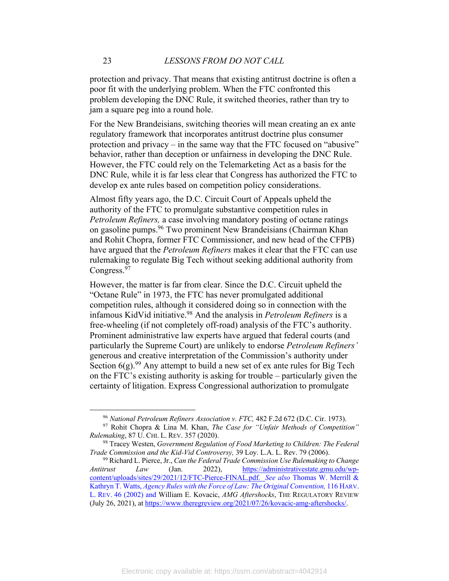protection and privacy. That means that existing antitrust doctrine is often a poor fit with the underlying problem. When the FTC confronted this problem developing the DNC Rule, it switched theories, rather than try to jam a square peg into a round hole.

For the New Brandeisians, switching theories will mean creating an ex ante regulatory framework that incorporates antitrust doctrine plus consumer protection and privacy – in the same way that the FTC focused on "abusive" behavior, rather than deception or unfairness in developing the DNC Rule. However, the FTC could rely on the Telemarketing Act as a basis for the DNC Rule, while it is far less clear that Congress has authorized the FTC to develop ex ante rules based on competition policy considerations.

Almost fifty years ago, the D.C. Circuit Court of Appeals upheld the authority of the FTC to promulgate substantive competition rules in *Petroleum Refiners,* a case involving mandatory posting of octane ratings on gasoline pumps.96 Two prominent New Brandeisians (Chairman Khan and Rohit Chopra, former FTC Commissioner, and new head of the CFPB) have argued that the *Petroleum Refiners* makes it clear that the FTC can use rulemaking to regulate Big Tech without seeking additional authority from Congress.<sup>97</sup>

However, the matter is far from clear. Since the D.C. Circuit upheld the "Octane Rule" in 1973, the FTC has never promulgated additional competition rules, although it considered doing so in connection with the infamous KidVid initiative.98 And the analysis in *Petroleum Refiners* is a free-wheeling (if not completely off-road) analysis of the FTC's authority. Prominent administrative law experts have argued that federal courts (and particularly the Supreme Court) are unlikely to endorse *Petroleum Refiners'* generous and creative interpretation of the Commission's authority under Section  $6(g)$ .<sup>99</sup> Any attempt to build a new set of ex ante rules for Big Tech on the FTC's existing authority is asking for trouble – particularly given the certainty of litigation. Express Congressional authorization to promulgate

Electronic copy available at: https://ssrn.com/abstract=4042914

<sup>96</sup> *National Petroleum Refiners Association v. FTC,* 482 F.2d 672 (D.C. Cir. 1973).

<sup>97</sup> Rohit Chopra & Lina M. Khan, *The Case for "Unfair Methods of Competition" Rulemaking*, 87 U. CHI. L. REV. <sup>357</sup> (2020). 98 Tracey Westen, *Government Regulation of Food Marketing to Children: The Federal* 

*Trade Commission and the Kid-Vid Controversy,* 39 Loy. L.A. L. Rev. 79 (2006).

<sup>99</sup> Richard L. Pierce, Jr., *Can the Federal Trade Commission Use Rulemaking to Change Antitrust Law* (Jan. 2022), https://administrativestate.gmu.edu/wpcontent/uploads/sites/29/2021/12/FTC-Pierce-FINAL.pdf. *See also* Thomas W. Merrill & Kathryn T. Watts, *Agency Rules with the Force of Law: The Original Convention,* 116 HARV. L. REV. 46 (2002) and William E. Kovacic, *AMG Aftershocks*, THE REGULATORY REVIEW (July 26, 2021), at https://www.theregreview.org/2021/07/26/kovacic-amg-aftershocks/.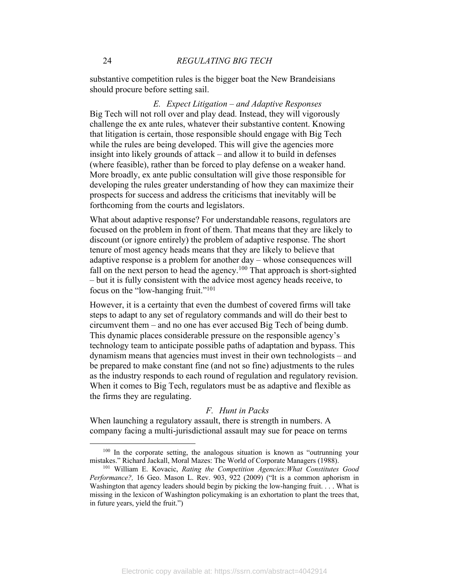substantive competition rules is the bigger boat the New Brandeisians should procure before setting sail.

*E. Expect Litigation – and Adaptive Responses* Big Tech will not roll over and play dead. Instead, they will vigorously challenge the ex ante rules, whatever their substantive content. Knowing that litigation is certain, those responsible should engage with Big Tech while the rules are being developed. This will give the agencies more insight into likely grounds of attack – and allow it to build in defenses (where feasible), rather than be forced to play defense on a weaker hand. More broadly, ex ante public consultation will give those responsible for developing the rules greater understanding of how they can maximize their prospects for success and address the criticisms that inevitably will be forthcoming from the courts and legislators.

What about adaptive response? For understandable reasons, regulators are focused on the problem in front of them. That means that they are likely to discount (or ignore entirely) the problem of adaptive response. The short tenure of most agency heads means that they are likely to believe that adaptive response is a problem for another day – whose consequences will fall on the next person to head the agency.<sup>100</sup> That approach is short-sighted – but it is fully consistent with the advice most agency heads receive, to focus on the "low-hanging fruit."101

However, it is a certainty that even the dumbest of covered firms will take steps to adapt to any set of regulatory commands and will do their best to circumvent them – and no one has ever accused Big Tech of being dumb. This dynamic places considerable pressure on the responsible agency's technology team to anticipate possible paths of adaptation and bypass. This dynamism means that agencies must invest in their own technologists – and be prepared to make constant fine (and not so fine) adjustments to the rules as the industry responds to each round of regulation and regulatory revision. When it comes to Big Tech, regulators must be as adaptive and flexible as the firms they are regulating.

#### *F. Hunt in Packs*

When launching a regulatory assault, there is strength in numbers. A company facing a multi-jurisdictional assault may sue for peace on terms

<sup>&</sup>lt;sup>100</sup> In the corporate setting, the analogous situation is known as "outrunning your mistakes." Richard Jackall, Moral Mazes: The World of Corporate Managers (1988). 101 William E. Kovacic, *Rating the Competition Agencies:What Constitutes Good* 

*Performance?,* 16 Geo. Mason L. Rev. 903, 922 (2009) ("It is a common aphorism in Washington that agency leaders should begin by picking the low-hanging fruit. . . . What is missing in the lexicon of Washington policymaking is an exhortation to plant the trees that, in future years, yield the fruit.")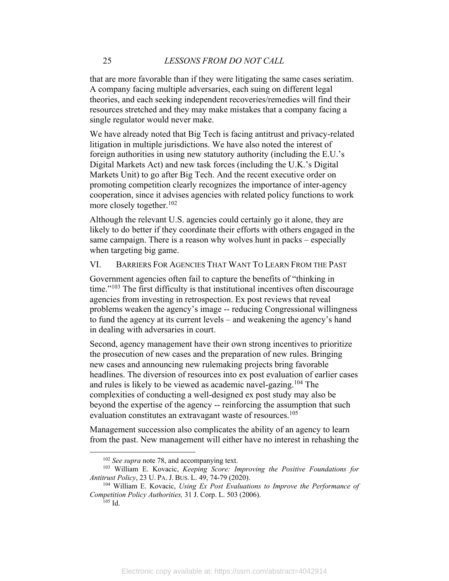that are more favorable than if they were litigating the same cases seriatim. A company facing multiple adversaries, each suing on different legal theories, and each seeking independent recoveries/remedies will find their resources stretched and they may make mistakes that a company facing a single regulator would never make.

We have already noted that Big Tech is facing antitrust and privacy-related litigation in multiple jurisdictions. We have also noted the interest of foreign authorities in using new statutory authority (including the E.U.'s Digital Markets Act) and new task forces (including the U.K.'s Digital Markets Unit) to go after Big Tech. And the recent executive order on promoting competition clearly recognizes the importance of inter-agency cooperation, since it advises agencies with related policy functions to work more closely together.<sup>102</sup>

Although the relevant U.S. agencies could certainly go it alone, they are likely to do better if they coordinate their efforts with others engaged in the same campaign. There is a reason why wolves hunt in packs – especially when targeting big game.

#### VI. BARRIERS FOR AGENCIES THAT WANT TO LEARN FROM THE PAST

Government agencies often fail to capture the benefits of "thinking in time."<sup>103</sup> The first difficulty is that institutional incentives often discourage agencies from investing in retrospection. Ex post reviews that reveal problems weaken the agency's image -- reducing Congressional willingness to fund the agency at its current levels – and weakening the agency's hand in dealing with adversaries in court.

Second, agency management have their own strong incentives to prioritize the prosecution of new cases and the preparation of new rules. Bringing new cases and announcing new rulemaking projects bring favorable headlines. The diversion of resources into ex post evaluation of earlier cases and rules is likely to be viewed as academic navel-gazing. <sup>104</sup> The complexities of conducting a well-designed ex post study may also be beyond the expertise of the agency -- reinforcing the assumption that such evaluation constitutes an extravagant waste of resources. 105

Management succession also complicates the ability of an agency to learn from the past. New management will either have no interest in rehashing the

Electronic copy available at: https://ssrn.com/abstract=4042914

<sup>&</sup>lt;sup>102</sup> See supra note 78, and accompanying text.

<sup>103</sup> William E. Kovacic, *Keeping Score: Improving the Positive Foundations for Antitrust Policy*, 23 U. PA. J. BUS. L. 49, 74-79 (2020).

<sup>104</sup> William E. Kovacic, *Using Ex Post Evaluations to Improve the Performance of Competition Policy Authorities,* 31 J. Corp. L. 503 (2006).

 $105$  Id.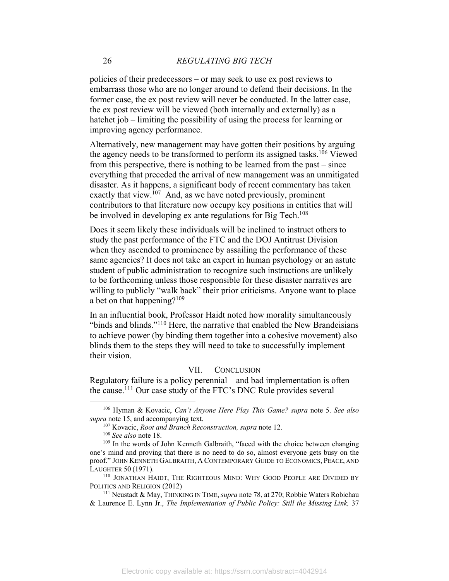policies of their predecessors – or may seek to use ex post reviews to embarrass those who are no longer around to defend their decisions. In the former case, the ex post review will never be conducted. In the latter case, the ex post review will be viewed (both internally and externally) as a hatchet job – limiting the possibility of using the process for learning or improving agency performance.

Alternatively, new management may have gotten their positions by arguing the agency needs to be transformed to perform its assigned tasks.<sup>106</sup> Viewed from this perspective, there is nothing to be learned from the past – since everything that preceded the arrival of new management was an unmitigated disaster. As it happens, a significant body of recent commentary has taken exactly that view.<sup>107</sup> And, as we have noted previously, prominent contributors to that literature now occupy key positions in entities that will be involved in developing ex ante regulations for Big Tech.<sup>108</sup>

Does it seem likely these individuals will be inclined to instruct others to study the past performance of the FTC and the DOJ Antitrust Division when they ascended to prominence by assailing the performance of these same agencies? It does not take an expert in human psychology or an astute student of public administration to recognize such instructions are unlikely to be forthcoming unless those responsible for these disaster narratives are willing to publicly "walk back" their prior criticisms. Anyone want to place a bet on that happening? $109$ 

In an influential book, Professor Haidt noted how morality simultaneously "binds and blinds."<sup>110</sup> Here, the narrative that enabled the New Brandeisians to achieve power (by binding them together into a cohesive movement) also blinds them to the steps they will need to take to successfully implement their vision.

#### VII. CONCLUSION

Regulatory failure is a policy perennial – and bad implementation is often the cause.111 Our case study of the FTC's DNC Rule provides several

<sup>106</sup> Hyman & Kovacic, *Can't Anyone Here Play This Game? supra* note 5. *See also supra* note 15, and accompanying text.

<sup>107</sup> Kovacic, *Root and Branch Reconstruction, supra* note 12. 108 *See also* note 18.

<sup>&</sup>lt;sup>109</sup> In the words of John Kenneth Galbraith, "faced with the choice between changing one's mind and proving that there is no need to do so, almost everyone gets busy on the proof." JOHN KENNETH GALBRAITH, A CONTEMPORARY GUIDE TO ECONOMICS, PEACE, AND LAUGHTER 50 (1971).

<sup>110</sup> JONATHAN HAIDT, THE RIGHTEOUS MIND: WHY GOOD PEOPLE ARE DIVIDED BY POLITICS AND RELIGION (2012)

<sup>111</sup> Neustadt & May, THINKING IN TIME, *supra* note 78, at 270; Robbie Waters Robichau & Laurence E. Lynn Jr., *The Implementation of Public Policy: Still the Missing Link,* 37